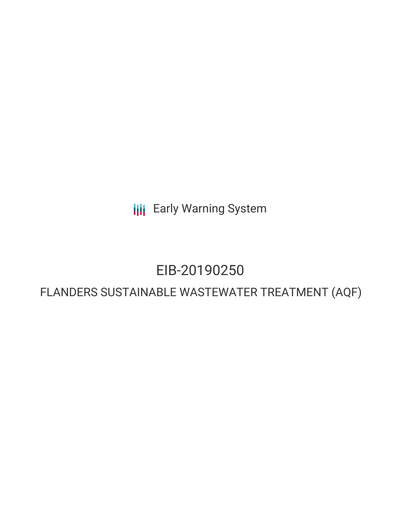**III** Early Warning System

# EIB-20190250

## FLANDERS SUSTAINABLE WASTEWATER TREATMENT (AQF)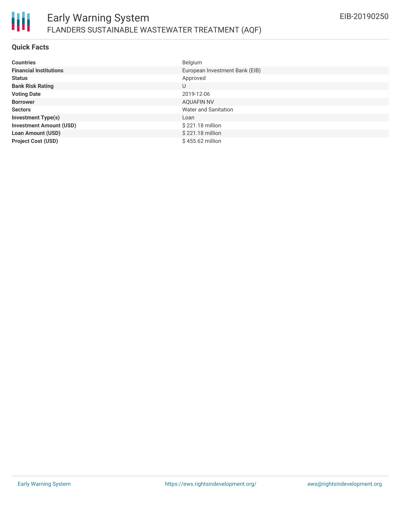

#### **Quick Facts**

Ш

| <b>Countries</b>               | Belgium                        |
|--------------------------------|--------------------------------|
| <b>Financial Institutions</b>  | European Investment Bank (EIB) |
| <b>Status</b>                  | Approved                       |
| <b>Bank Risk Rating</b>        | U                              |
| <b>Voting Date</b>             | 2019-12-06                     |
| <b>Borrower</b>                | <b>AQUAFIN NV</b>              |
| <b>Sectors</b>                 | Water and Sanitation           |
| <b>Investment Type(s)</b>      | Loan                           |
| <b>Investment Amount (USD)</b> | \$221.18 million               |
| <b>Loan Amount (USD)</b>       | \$221.18 million               |
| <b>Project Cost (USD)</b>      | $$455.62$ million              |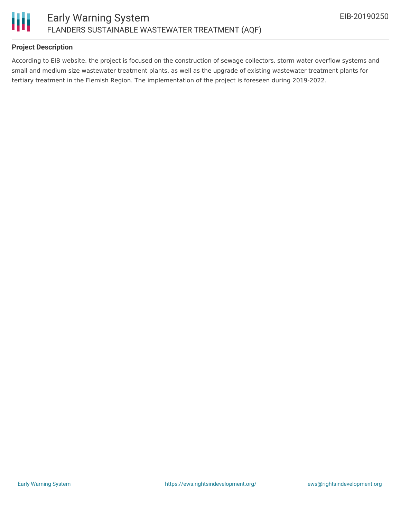

#### **Project Description**

According to EIB website, the project is focused on the construction of sewage collectors, storm water overflow systems and small and medium size wastewater treatment plants, as well as the upgrade of existing wastewater treatment plants for tertiary treatment in the Flemish Region. The implementation of the project is foreseen during 2019-2022.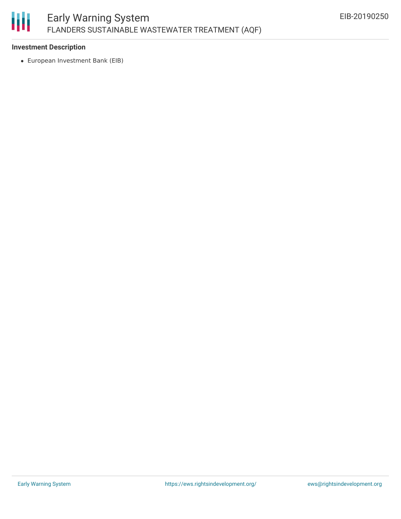

#### **Investment Description**

European Investment Bank (EIB)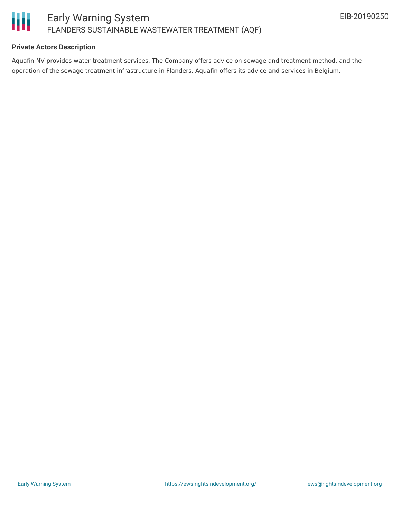

#### **Private Actors Description**

Aquafin NV provides water-treatment services. The Company offers advice on sewage and treatment method, and the operation of the sewage treatment infrastructure in Flanders. Aquafin offers its advice and services in Belgium.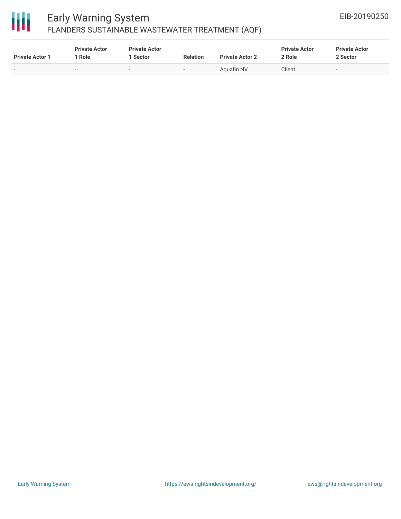

### Early Warning System FLANDERS SUSTAINABLE WASTEWATER TREATMENT (AQF)

| <b>Private Actor 1</b>   | <b>Private Actor</b><br>' Role | <b>Private Actor</b><br>1 Sector | <b>Relation</b> | <b>Private Actor 2</b> | <b>Private Actor</b><br>2 Role | <b>Private Actor</b><br>2 Sector |  |
|--------------------------|--------------------------------|----------------------------------|-----------------|------------------------|--------------------------------|----------------------------------|--|
| $\overline{\phantom{0}}$ | $\overline{\phantom{a}}$       | $\sim$                           |                 | Aguafin NV             | Client                         | $\sim$                           |  |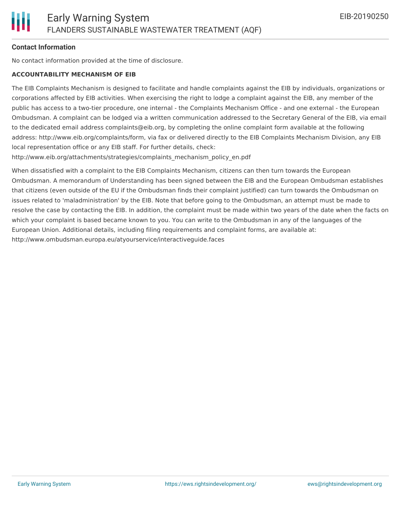#### **Contact Information**

No contact information provided at the time of disclosure.

#### **ACCOUNTABILITY MECHANISM OF EIB**

The EIB Complaints Mechanism is designed to facilitate and handle complaints against the EIB by individuals, organizations or corporations affected by EIB activities. When exercising the right to lodge a complaint against the EIB, any member of the public has access to a two-tier procedure, one internal - the Complaints Mechanism Office - and one external - the European Ombudsman. A complaint can be lodged via a written communication addressed to the Secretary General of the EIB, via email to the dedicated email address complaints@eib.org, by completing the online complaint form available at the following address: http://www.eib.org/complaints/form, via fax or delivered directly to the EIB Complaints Mechanism Division, any EIB local representation office or any EIB staff. For further details, check:

http://www.eib.org/attachments/strategies/complaints\_mechanism\_policy\_en.pdf

When dissatisfied with a complaint to the EIB Complaints Mechanism, citizens can then turn towards the European Ombudsman. A memorandum of Understanding has been signed between the EIB and the European Ombudsman establishes that citizens (even outside of the EU if the Ombudsman finds their complaint justified) can turn towards the Ombudsman on issues related to 'maladministration' by the EIB. Note that before going to the Ombudsman, an attempt must be made to resolve the case by contacting the EIB. In addition, the complaint must be made within two years of the date when the facts on which your complaint is based became known to you. You can write to the Ombudsman in any of the languages of the European Union. Additional details, including filing requirements and complaint forms, are available at: http://www.ombudsman.europa.eu/atyourservice/interactiveguide.faces